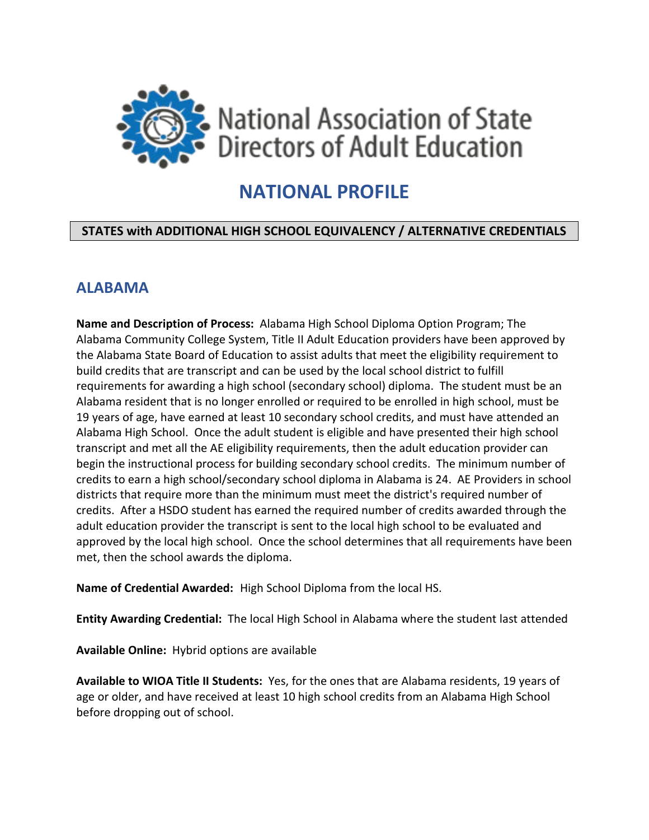

# **NATIONAL PROFILE**

#### **STATES with ADDITIONAL HIGH SCHOOL EQUIVALENCY / ALTERNATIVE CREDENTIALS**

### **ALABAMA**

**Name and Description of Process:** Alabama High School Diploma Option Program; The Alabama Community College System, Title II Adult Education providers have been approved by the Alabama State Board of Education to assist adults that meet the eligibility requirement to build credits that are transcript and can be used by the local school district to fulfill requirements for awarding a high school (secondary school) diploma. The student must be an Alabama resident that is no longer enrolled or required to be enrolled in high school, must be 19 years of age, have earned at least 10 secondary school credits, and must have attended an Alabama High School. Once the adult student is eligible and have presented their high school transcript and met all the AE eligibility requirements, then the adult education provider can begin the instructional process for building secondary school credits. The minimum number of credits to earn a high school/secondary school diploma in Alabama is 24. AE Providers in school districts that require more than the minimum must meet the district's required number of credits. After a HSDO student has earned the required number of credits awarded through the adult education provider the transcript is sent to the local high school to be evaluated and approved by the local high school. Once the school determines that all requirements have been met, then the school awards the diploma.

**Name of Credential Awarded:** High School Diploma from the local HS.

**Entity Awarding Credential:** The local High School in Alabama where the student last attended

**Available Online:** Hybrid options are available

**Available to WIOA Title II Students:** Yes, for the ones that are Alabama residents, 19 years of age or older, and have received at least 10 high school credits from an Alabama High School before dropping out of school.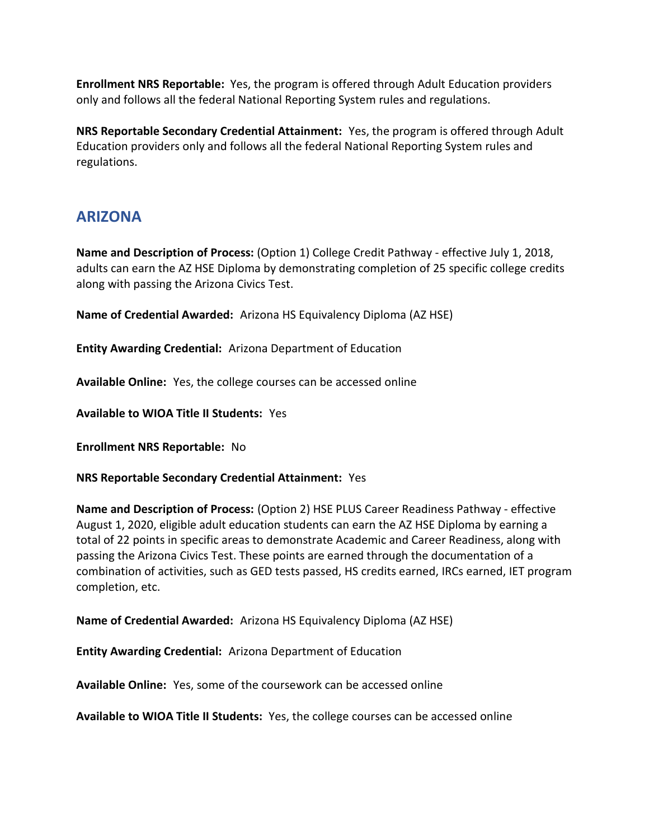**Enrollment NRS Reportable:** Yes, the program is offered through Adult Education providers only and follows all the federal National Reporting System rules and regulations.

**NRS Reportable Secondary Credential Attainment:** Yes, the program is offered through Adult Education providers only and follows all the federal National Reporting System rules and regulations.

# **ARIZONA**

**Name and Description of Process:** (Option 1) College Credit Pathway - effective July 1, 2018, adults can earn the AZ HSE Diploma by demonstrating completion of 25 specific college credits along with passing the Arizona Civics Test.

**Name of Credential Awarded:** Arizona HS Equivalency Diploma (AZ HSE)

**Entity Awarding Credential:** Arizona Department of Education

**Available Online:** Yes, the college courses can be accessed online

**Available to WIOA Title II Students:** Yes

**Enrollment NRS Reportable:** No

**NRS Reportable Secondary Credential Attainment:** Yes

**Name and Description of Process:** (Option 2) HSE PLUS Career Readiness Pathway - effective August 1, 2020, eligible adult education students can earn the AZ HSE Diploma by earning a total of 22 points in specific areas to demonstrate Academic and Career Readiness, along with passing the Arizona Civics Test. These points are earned through the documentation of a combination of activities, such as GED tests passed, HS credits earned, IRCs earned, IET program completion, etc.

**Name of Credential Awarded:** Arizona HS Equivalency Diploma (AZ HSE)

**Entity Awarding Credential:** Arizona Department of Education

**Available Online:** Yes, some of the coursework can be accessed online

**Available to WIOA Title II Students:** Yes, the college courses can be accessed online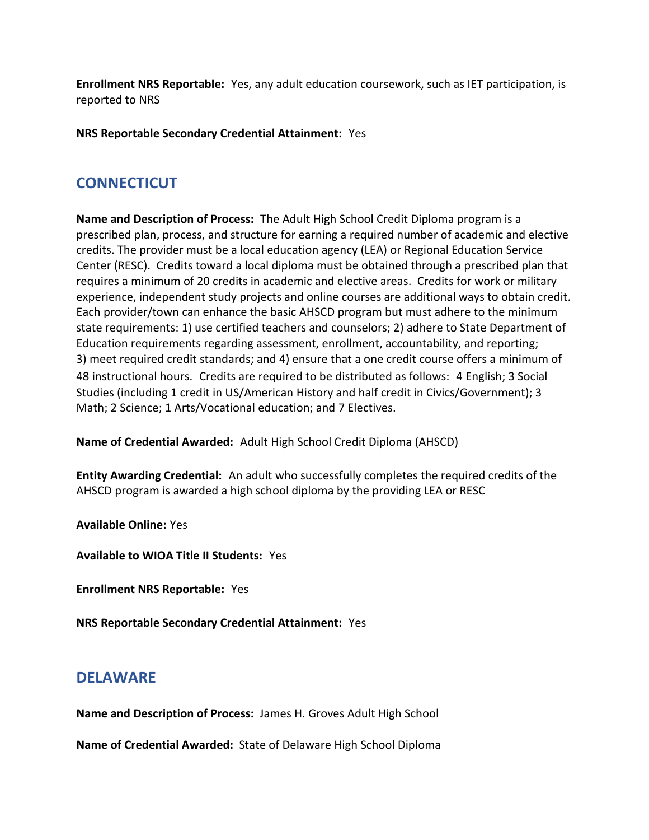**Enrollment NRS Reportable:** Yes, any adult education coursework, such as IET participation, is reported to NRS

**NRS Reportable Secondary Credential Attainment:** Yes

# **CONNECTICUT**

**Name and Description of Process:** The Adult High School Credit Diploma program is a prescribed plan, process, and structure for earning a required number of academic and elective credits. The provider must be a local education agency (LEA) or Regional Education Service Center (RESC). Credits toward a local diploma must be obtained through a prescribed plan that requires a minimum of 20 credits in academic and elective areas. Credits for work or military experience, independent study projects and online courses are additional ways to obtain credit. Each provider/town can enhance the basic AHSCD program but must adhere to the minimum state requirements: 1) use certified teachers and counselors; 2) adhere to State Department of Education requirements regarding assessment, enrollment, accountability, and reporting; 3) meet required credit standards; and 4) ensure that a one credit course offers a minimum of 48 instructional hours. Credits are required to be distributed as follows:4 English; 3 Social Studies (including 1 credit in US/American History and half credit in Civics/Government); 3 Math; 2 Science; 1 Arts/Vocational education; and 7 Electives.

**Name of Credential Awarded:** Adult High School Credit Diploma (AHSCD)

**Entity Awarding Credential:** An adult who successfully completes the required credits of the AHSCD program is awarded a high school diploma by the providing LEA or RESC

**Available Online:** Yes

**Available to WIOA Title II Students:** Yes

**Enrollment NRS Reportable:** Yes

**NRS Reportable Secondary Credential Attainment:** Yes

# **DELAWARE**

**Name and Description of Process:** James H. Groves Adult High School

**Name of Credential Awarded:** State of Delaware High School Diploma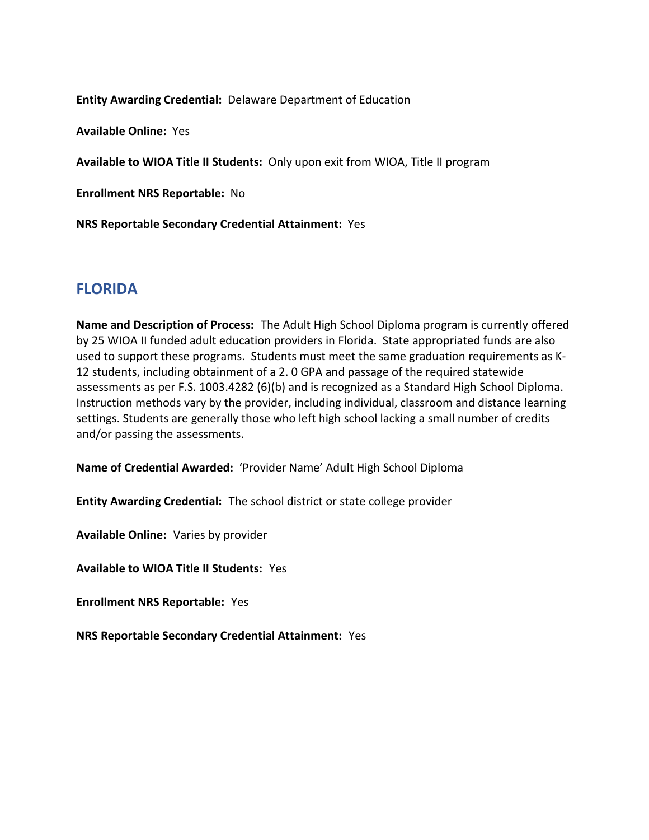**Entity Awarding Credential:** Delaware Department of Education

**Available Online:** Yes

**Available to WIOA Title II Students:** Only upon exit from WIOA, Title II program

**Enrollment NRS Reportable:** No

**NRS Reportable Secondary Credential Attainment:** Yes

#### **FLORIDA**

**Name and Description of Process:** The Adult High School Diploma program is currently offered by 25 WIOA II funded adult education providers in Florida. State appropriated funds are also used to support these programs. Students must meet the same graduation requirements as K-12 students, including obtainment of a 2. 0 GPA and passage of the required statewide assessments as per F.S. 1003.4282 (6)(b) and is recognized as a Standard High School Diploma. Instruction methods vary by the provider, including individual, classroom and distance learning settings. Students are generally those who left high school lacking a small number of credits and/or passing the assessments.

**Name of Credential Awarded:** 'Provider Name' Adult High School Diploma

**Entity Awarding Credential:** The school district or state college provider

**Available Online:** Varies by provider

**Available to WIOA Title II Students:** Yes

**Enrollment NRS Reportable:** Yes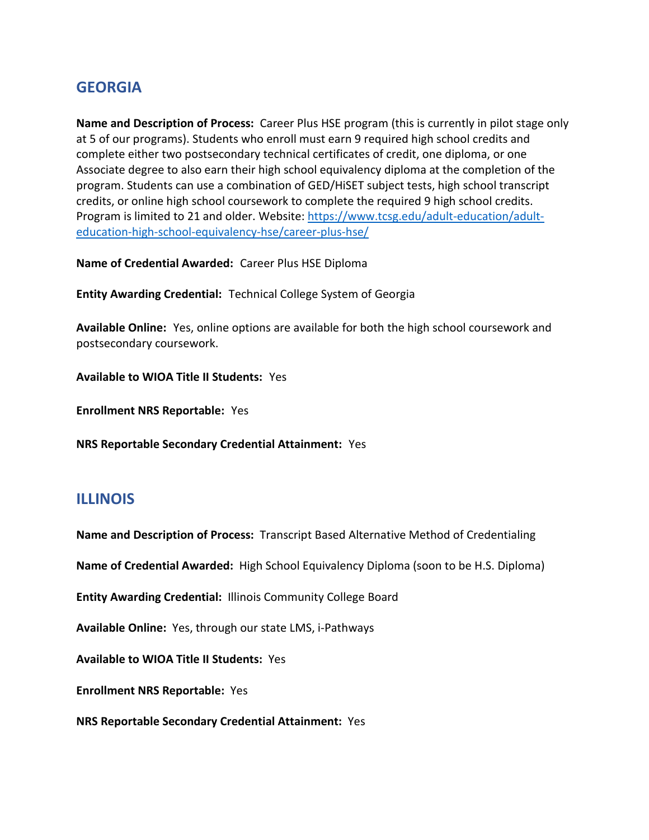# **GEORGIA**

**Name and Description of Process:** Career Plus HSE program (this is currently in pilot stage only at 5 of our programs). Students who enroll must earn 9 required high school credits and complete either two postsecondary technical certificates of credit, one diploma, or one Associate degree to also earn their high school equivalency diploma at the completion of the program. Students can use a combination of GED/HiSET subject tests, high school transcript credits, or online high school coursework to complete the required 9 high school credits. Program is limited to 21 and older. Website: [https://www.tcsg.edu/adult-education/adult](https://www.tcsg.edu/adult-education/adult-education-high-school-equivalency-hse/career-plus-hse/)[education-high-school-equivalency-hse/career-plus-hse/](https://www.tcsg.edu/adult-education/adult-education-high-school-equivalency-hse/career-plus-hse/)

**Name of Credential Awarded:** Career Plus HSE Diploma

**Entity Awarding Credential:** Technical College System of Georgia

**Available Online:** Yes, online options are available for both the high school coursework and postsecondary coursework.

**Available to WIOA Title II Students:** Yes

**Enrollment NRS Reportable:** Yes

**NRS Reportable Secondary Credential Attainment:** Yes

### **ILLINOIS**

**Name and Description of Process:** Transcript Based Alternative Method of Credentialing

**Name of Credential Awarded:** High School Equivalency Diploma (soon to be H.S. Diploma)

**Entity Awarding Credential:** Illinois Community College Board

**Available Online:** Yes, through our state LMS, i-Pathways

**Available to WIOA Title II Students:** Yes

**Enrollment NRS Reportable:** Yes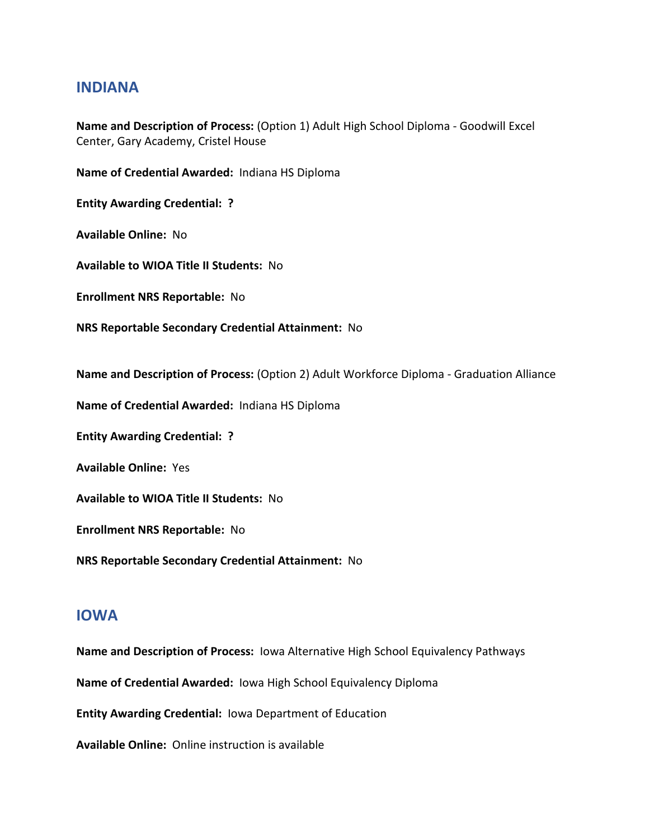#### **INDIANA**

**Name and Description of Process:** (Option 1) Adult High School Diploma - Goodwill Excel Center, Gary Academy, Cristel House

**Name of Credential Awarded:** Indiana HS Diploma

**Entity Awarding Credential: ?**

**Available Online:** No

**Available to WIOA Title II Students:** No

**Enrollment NRS Reportable:** No

**NRS Reportable Secondary Credential Attainment:** No

**Name and Description of Process:** (Option 2) Adult Workforce Diploma - Graduation Alliance

**Name of Credential Awarded:** Indiana HS Diploma

**Entity Awarding Credential: ?**

**Available Online:** Yes

**Available to WIOA Title II Students:** No

**Enrollment NRS Reportable:** No

**NRS Reportable Secondary Credential Attainment:** No

#### **IOWA**

**Name and Description of Process:** Iowa Alternative High School Equivalency Pathways

**Name of Credential Awarded:** Iowa High School Equivalency Diploma

**Entity Awarding Credential:** Iowa Department of Education

**Available Online:** Online instruction is available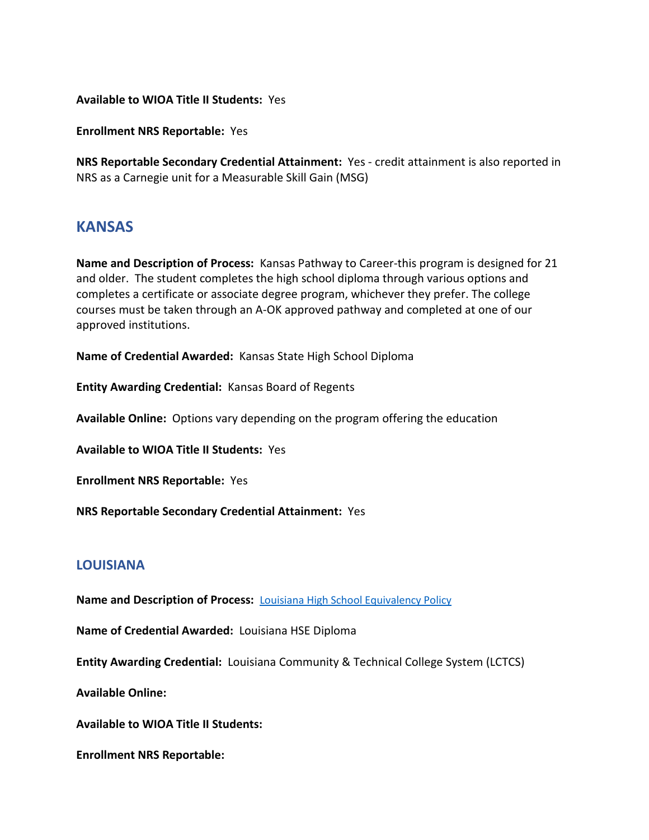**Available to WIOA Title II Students:** Yes

**Enrollment NRS Reportable:** Yes

**NRS Reportable Secondary Credential Attainment:** Yes - credit attainment is also reported in NRS as a Carnegie unit for a Measurable Skill Gain (MSG)

#### **KANSAS**

**Name and Description of Process:** Kansas Pathway to Career-this program is designed for 21 and older. The student completes the high school diploma through various options and completes a certificate or associate degree program, whichever they prefer. The college courses must be taken through an A-OK approved pathway and completed at one of our approved institutions.

**Name of Credential Awarded:** Kansas State High School Diploma

**Entity Awarding Credential:** Kansas Board of Regents

**Available Online:** Options vary depending on the program offering the education

**Available to WIOA Title II Students:** Yes

**Enrollment NRS Reportable:** Yes

**NRS Reportable Secondary Credential Attainment:** Yes

#### **LOUISIANA**

**Name and Description of Process:** [Louisiana High School Equivalency Policy](https://campussuite-storage.s3.amazonaws.com/prod/1558543/91b64910-2d2e-11e8-8c09-0a7155647e8a/2194106/3a443bdc-3be6-11eb-9893-129b006eba41/file/1.105%20High%20School%20Equivalency%20(Revised%2012.9.20).pdf)

**Name of Credential Awarded:** Louisiana HSE Diploma

**Entity Awarding Credential:** Louisiana Community & Technical College System (LCTCS)

**Available Online:**

**Available to WIOA Title II Students:**

**Enrollment NRS Reportable:**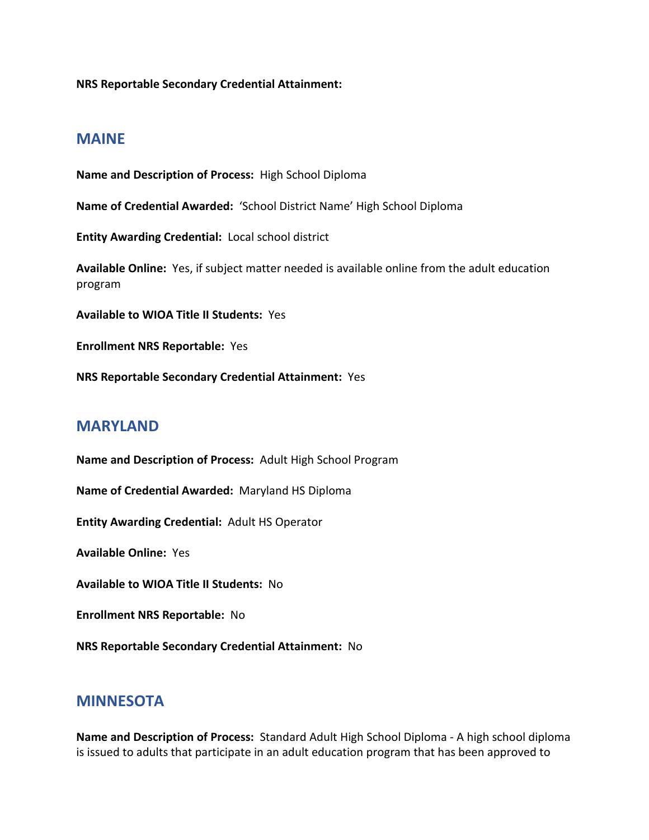**NRS Reportable Secondary Credential Attainment:**

#### **MAINE**

**Name and Description of Process:** High School Diploma **Name of Credential Awarded:** 'School District Name' High School Diploma **Entity Awarding Credential:** Local school district **Available Online:** Yes, if subject matter needed is available online from the adult education program **Available to WIOA Title II Students:** Yes **Enrollment NRS Reportable:** Yes **NRS Reportable Secondary Credential Attainment:** Yes

### **MARYLAND**

**Name and Description of Process:** Adult High School Program

**Name of Credential Awarded:** Maryland HS Diploma

**Entity Awarding Credential:** Adult HS Operator

**Available Online:** Yes

**Available to WIOA Title II Students:** No

**Enrollment NRS Reportable:** No

**NRS Reportable Secondary Credential Attainment:** No

### **MINNESOTA**

**Name and Description of Process:** Standard Adult High School Diploma - A high school diploma is issued to adults that participate in an adult education program that has been approved to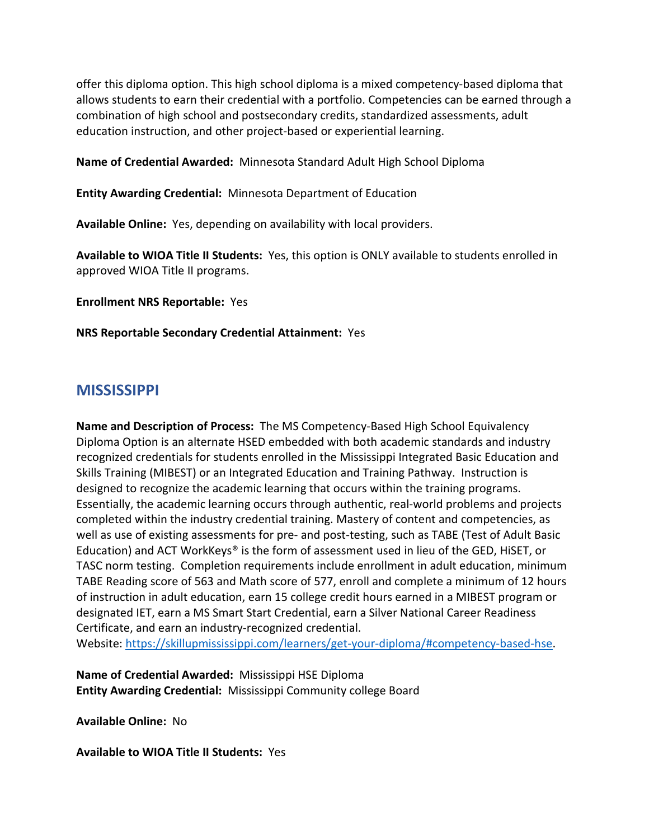offer this diploma option. This high school diploma is a mixed competency-based diploma that allows students to earn their credential with a portfolio. Competencies can be earned through a combination of high school and postsecondary credits, standardized assessments, adult education instruction, and other project-based or experiential learning.

**Name of Credential Awarded:** Minnesota Standard Adult High School Diploma

**Entity Awarding Credential:** Minnesota Department of Education

**Available Online:** Yes, depending on availability with local providers.

**Available to WIOA Title II Students:** Yes, this option is ONLY available to students enrolled in approved WIOA Title II programs.

**Enrollment NRS Reportable:** Yes

**NRS Reportable Secondary Credential Attainment:** Yes

### **MISSISSIPPI**

**Name and Description of Process:** The MS Competency-Based High School Equivalency Diploma Option is an alternate HSED embedded with both academic standards and industry recognized credentials for students enrolled in the Mississippi Integrated Basic Education and Skills Training (MIBEST) or an Integrated Education and Training Pathway. Instruction is designed to recognize the academic learning that occurs within the training programs. Essentially, the academic learning occurs through authentic, real-world problems and projects completed within the industry credential training. Mastery of content and competencies, as well as use of existing assessments for pre- and post-testing, such as TABE (Test of Adult Basic Education) and ACT WorkKeys® is the form of assessment used in lieu of the GED, HiSET, or TASC norm testing. Completion requirements include enrollment in adult education, minimum TABE Reading score of 563 and Math score of 577, enroll and complete a minimum of 12 hours of instruction in adult education, earn 15 college credit hours earned in a MIBEST program or designated IET, earn a MS Smart Start Credential, earn a Silver National Career Readiness Certificate, and earn an industry-recognized credential.

Website: [https://skillupmississippi.com/learners/get-your-diploma/#competency-based-hse.](https://skillupmississippi.com/learners/get-your-diploma/#competency-based-hse)

**Name of Credential Awarded:** Mississippi HSE Diploma **Entity Awarding Credential:** Mississippi Community college Board

**Available Online:** No

**Available to WIOA Title II Students:** Yes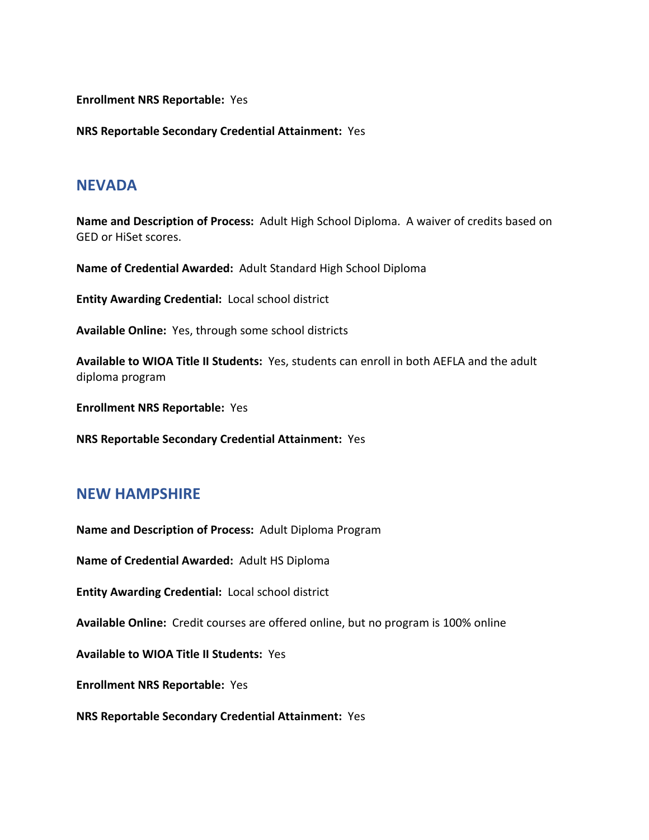**Enrollment NRS Reportable:** Yes

**NRS Reportable Secondary Credential Attainment:** Yes

#### **NEVADA**

**Name and Description of Process:** Adult High School Diploma. A waiver of credits based on GED or HiSet scores.

**Name of Credential Awarded:** Adult Standard High School Diploma

**Entity Awarding Credential:** Local school district

**Available Online:** Yes, through some school districts

**Available to WIOA Title II Students:** Yes, students can enroll in both AEFLA and the adult diploma program

**Enrollment NRS Reportable:** Yes

**NRS Reportable Secondary Credential Attainment:** Yes

#### **NEW HAMPSHIRE**

**Name and Description of Process:** Adult Diploma Program

**Name of Credential Awarded:** Adult HS Diploma

**Entity Awarding Credential:** Local school district

**Available Online:** Credit courses are offered online, but no program is 100% online

**Available to WIOA Title II Students:** Yes

**Enrollment NRS Reportable:** Yes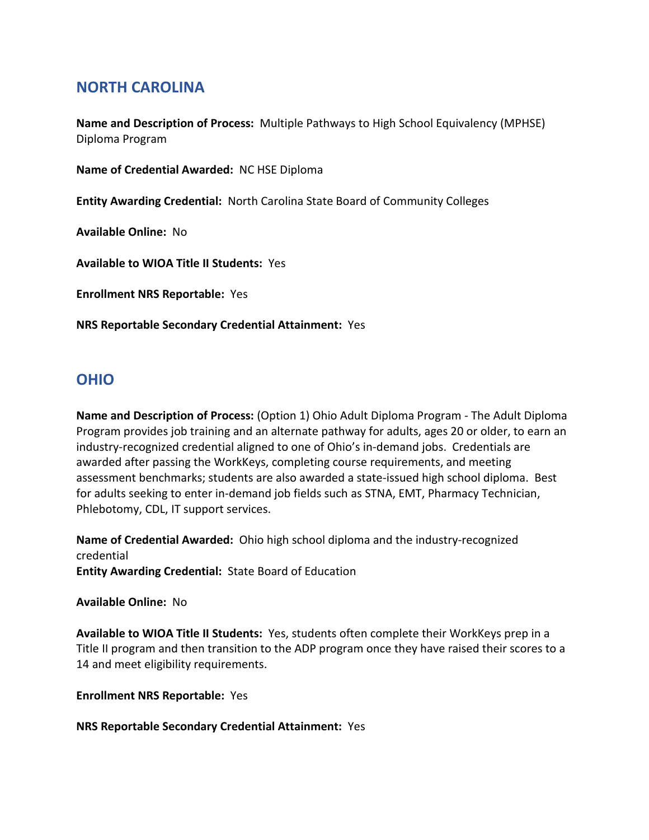# **NORTH CAROLINA**

**Name and Description of Process:** Multiple Pathways to High School Equivalency (MPHSE) Diploma Program

**Name of Credential Awarded:** NC HSE Diploma

**Entity Awarding Credential:** North Carolina State Board of Community Colleges

**Available Online:** No

**Available to WIOA Title II Students:** Yes

**Enrollment NRS Reportable:** Yes

**NRS Reportable Secondary Credential Attainment:** Yes

### **OHIO**

**Name and Description of Process:** (Option 1) Ohio Adult Diploma Program - The Adult Diploma Program provides job training and an alternate pathway for adults, ages 20 or older, to earn an industry-recognized credential aligned to one of Ohio's in-demand jobs. Credentials are awarded after passing the WorkKeys, completing course requirements, and meeting assessment benchmarks; students are also awarded a state-issued high school diploma. Best for adults seeking to enter in-demand job fields such as STNA, EMT, Pharmacy Technician, Phlebotomy, CDL, IT support services.

**Name of Credential Awarded:** Ohio high school diploma and the industry-recognized credential **Entity Awarding Credential:** State Board of Education

#### **Available Online:** No

**Available to WIOA Title II Students:** Yes, students often complete their WorkKeys prep in a Title II program and then transition to the ADP program once they have raised their scores to a 14 and meet eligibility requirements.

**Enrollment NRS Reportable:** Yes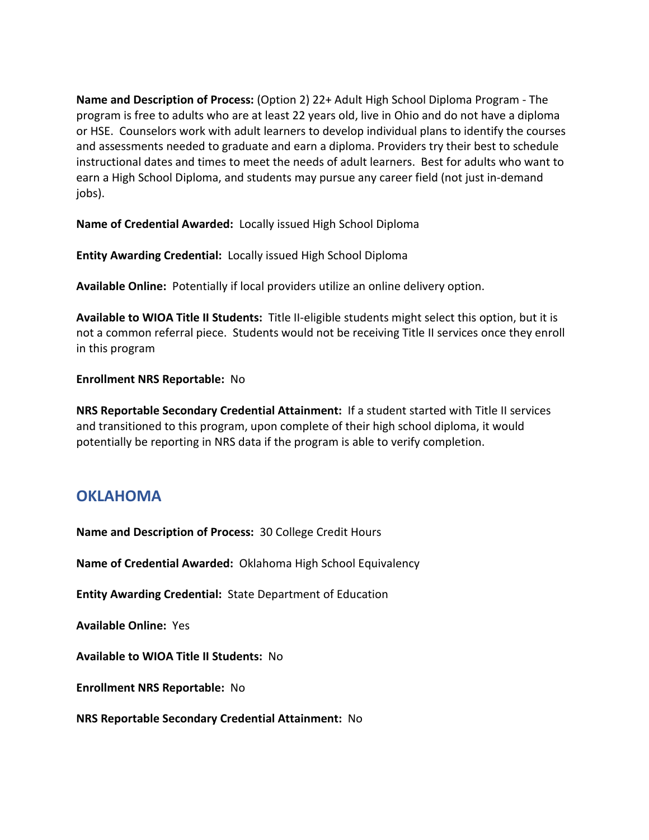**Name and Description of Process:** (Option 2) 22+ Adult High School Diploma Program - The program is free to adults who are at least 22 years old, live in Ohio and do not have a diploma or HSE. Counselors work with adult learners to develop individual plans to identify the courses and assessments needed to graduate and earn a diploma. Providers try their best to schedule instructional dates and times to meet the needs of adult learners. Best for adults who want to earn a High School Diploma, and students may pursue any career field (not just in-demand jobs).

**Name of Credential Awarded:** Locally issued High School Diploma

**Entity Awarding Credential:** Locally issued High School Diploma

**Available Online:** Potentially if local providers utilize an online delivery option.

**Available to WIOA Title II Students:** Title II-eligible students might select this option, but it is not a common referral piece. Students would not be receiving Title II services once they enroll in this program

#### **Enrollment NRS Reportable:** No

**NRS Reportable Secondary Credential Attainment:** If a student started with Title II services and transitioned to this program, upon complete of their high school diploma, it would potentially be reporting in NRS data if the program is able to verify completion.

# **OKLAHOMA**

**Name and Description of Process:** 30 College Credit Hours

**Name of Credential Awarded:** Oklahoma High School Equivalency

**Entity Awarding Credential:** State Department of Education

**Available Online:** Yes

**Available to WIOA Title II Students:** No

**Enrollment NRS Reportable:** No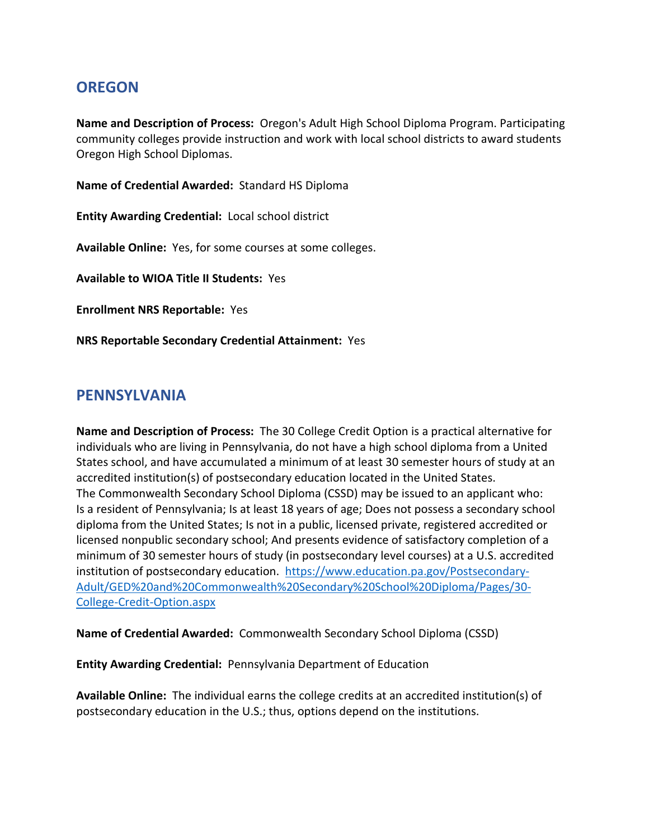# **OREGON**

**Name and Description of Process:** Oregon's Adult High School Diploma Program. Participating community colleges provide instruction and work with local school districts to award students Oregon High School Diplomas.

**Name of Credential Awarded:** Standard HS Diploma

**Entity Awarding Credential:** Local school district

**Available Online:** Yes, for some courses at some colleges.

**Available to WIOA Title II Students:** Yes

**Enrollment NRS Reportable:** Yes

**NRS Reportable Secondary Credential Attainment:** Yes

### **PENNSYLVANIA**

**Name and Description of Process:** The 30 College Credit Option is a practical alternative for individuals who are living in Pennsylvania, do not have a high school diploma from a United States school, and have accumulated a minimum of at least 30 semester hours of study at an accredited institution(s) of postsecondary education located in the United States. The Commonwealth Secondary School Diploma (CSSD) may be issued to an applicant who: Is a resident of Pennsylvania; Is at least 18 years of age; Does not possess a secondary school diploma from the United States; Is not in a public, licensed private, registered accredited or licensed nonpublic secondary school; And presents evidence of satisfactory completion of a minimum of 30 semester hours of study (in postsecondary level courses) at a U.S. accredited institution of postsecondary education. [https://www.education.pa.gov/Postsecondary-](https://www.education.pa.gov/Postsecondary-Adult/GED%20and%20Commonwealth%20Secondary%20School%20Diploma/Pages/30-College-Credit-Option.aspx)[Adult/GED%20and%20Commonwealth%20Secondary%20School%20Diploma/Pages/30-](https://www.education.pa.gov/Postsecondary-Adult/GED%20and%20Commonwealth%20Secondary%20School%20Diploma/Pages/30-College-Credit-Option.aspx) [College-Credit-Option.aspx](https://www.education.pa.gov/Postsecondary-Adult/GED%20and%20Commonwealth%20Secondary%20School%20Diploma/Pages/30-College-Credit-Option.aspx) 

**Name of Credential Awarded:** Commonwealth Secondary School Diploma (CSSD)

**Entity Awarding Credential:** Pennsylvania Department of Education

**Available Online:** The individual earns the college credits at an accredited institution(s) of postsecondary education in the U.S.; thus, options depend on the institutions.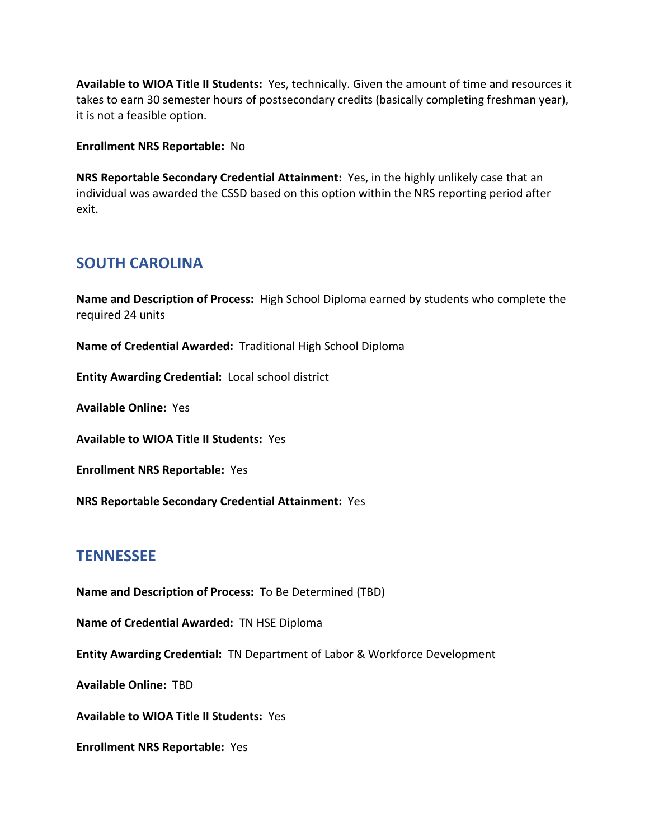**Available to WIOA Title II Students:** Yes, technically. Given the amount of time and resources it takes to earn 30 semester hours of postsecondary credits (basically completing freshman year), it is not a feasible option.

**Enrollment NRS Reportable:** No

**NRS Reportable Secondary Credential Attainment:** Yes, in the highly unlikely case that an individual was awarded the CSSD based on this option within the NRS reporting period after exit.

# **SOUTH CAROLINA**

**Name and Description of Process:** High School Diploma earned by students who complete the required 24 units

**Name of Credential Awarded:** Traditional High School Diploma

**Entity Awarding Credential:** Local school district

**Available Online:** Yes

**Available to WIOA Title II Students:** Yes

**Enrollment NRS Reportable:** Yes

**NRS Reportable Secondary Credential Attainment:** Yes

# **TENNESSEE**

**Name and Description of Process:** To Be Determined (TBD)

**Name of Credential Awarded:** TN HSE Diploma

**Entity Awarding Credential:** TN Department of Labor & Workforce Development

**Available Online:** TBD

**Available to WIOA Title II Students:** Yes

**Enrollment NRS Reportable:** Yes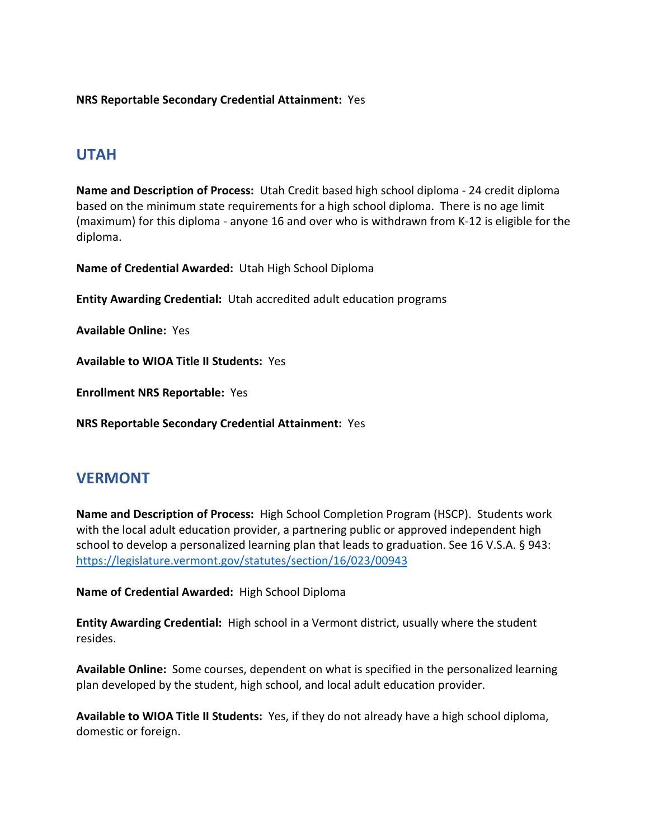**NRS Reportable Secondary Credential Attainment:** Yes

#### **UTAH**

**Name and Description of Process:** Utah Credit based high school diploma - 24 credit diploma based on the minimum state requirements for a high school diploma. There is no age limit (maximum) for this diploma - anyone 16 and over who is withdrawn from K-12 is eligible for the diploma.

**Name of Credential Awarded:** Utah High School Diploma

**Entity Awarding Credential:** Utah accredited adult education programs

**Available Online:** Yes

**Available to WIOA Title II Students:** Yes

**Enrollment NRS Reportable:** Yes

**NRS Reportable Secondary Credential Attainment:** Yes

#### **VERMONT**

**Name and Description of Process:** High School Completion Program (HSCP). Students work with the local adult education provider, a partnering public or approved independent high school to develop a personalized learning plan that leads to graduation. See 16 V.S.A. § 943: <https://legislature.vermont.gov/statutes/section/16/023/00943>

**Name of Credential Awarded:** High School Diploma

**Entity Awarding Credential:** High school in a Vermont district, usually where the student resides.

**Available Online:** Some courses, dependent on what is specified in the personalized learning plan developed by the student, high school, and local adult education provider.

**Available to WIOA Title II Students:** Yes, if they do not already have a high school diploma, domestic or foreign.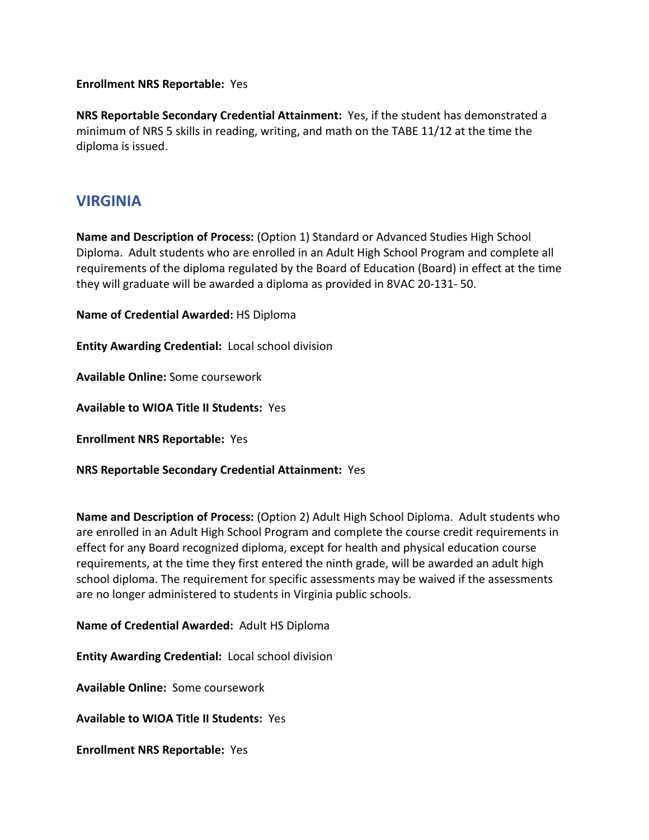#### **Enrollment NRS Reportable:** Yes

**NRS Reportable Secondary Credential Attainment:** Yes, if the student has demonstrated a minimum of NRS 5 skills in reading, writing, and math on the TABE 11/12 at the time the diploma is issued.

#### **VIRGINIA**

**Name and Description of Process:** (Option 1) Standard or Advanced Studies High School Diploma. Adult students who are enrolled in an Adult High School Program and complete all requirements of the diploma regulated by the Board of Education (Board) in effect at the time they will graduate will be awarded a diploma as provided in 8VAC 20-131- 50.

**Name of Credential Awarded:** HS Diploma

**Entity Awarding Credential:** Local school division

**Available Online:** Some coursework

**Available to WIOA Title II Students:** Yes

**Enrollment NRS Reportable:** Yes

**NRS Reportable Secondary Credential Attainment:** Yes

**Name and Description of Process:** (Option 2) Adult High School Diploma. Adult students who are enrolled in an Adult High School Program and complete the course credit requirements in effect for any Board recognized diploma, except for health and physical education course requirements, at the time they first entered the ninth grade, will be awarded an adult high school diploma. The requirement for specific assessments may be waived if the assessments are no longer administered to students in Virginia public schools.

#### **Name of Credential Awarded:** Adult HS Diploma

**Entity Awarding Credential:** Local school division

**Available Online:** Some coursework

**Available to WIOA Title II Students:** Yes

**Enrollment NRS Reportable:** Yes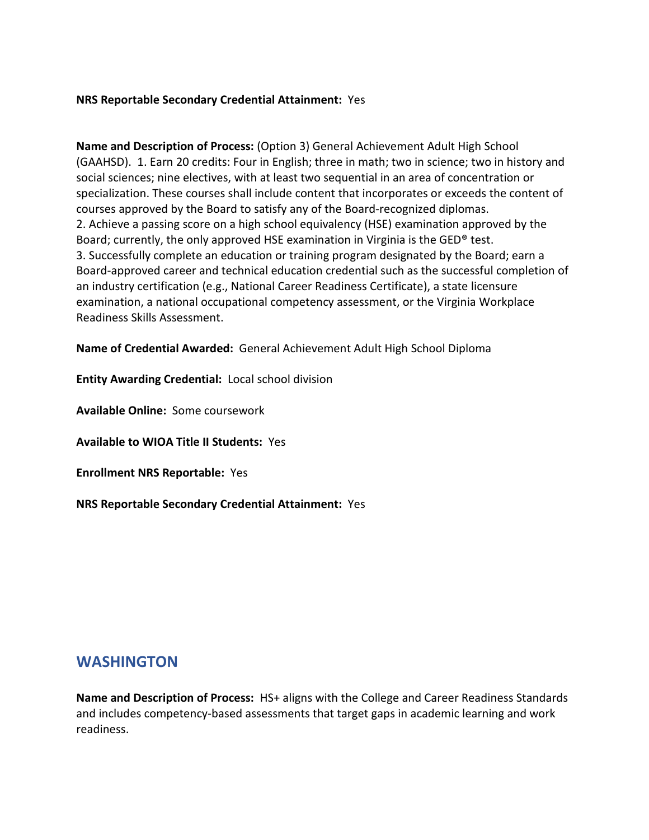#### **NRS Reportable Secondary Credential Attainment:** Yes

**Name and Description of Process:** (Option 3) General Achievement Adult High School (GAAHSD). 1. Earn 20 credits: Four in English; three in math; two in science; two in history and social sciences; nine electives, with at least two sequential in an area of concentration or specialization. These courses shall include content that incorporates or exceeds the content of courses approved by the Board to satisfy any of the Board-recognized diplomas. 2. Achieve a passing score on a high school equivalency (HSE) examination approved by the Board; currently, the only approved HSE examination in Virginia is the GED® test. 3. Successfully complete an education or training program designated by the Board; earn a Board-approved career and technical education credential such as the successful completion of an industry certification (e.g., National Career Readiness Certificate), a state licensure examination, a national occupational competency assessment, or the Virginia Workplace Readiness Skills Assessment.

**Name of Credential Awarded:** General Achievement Adult High School Diploma

**Entity Awarding Credential:** Local school division

**Available Online:** Some coursework

**Available to WIOA Title II Students:** Yes

**Enrollment NRS Reportable:** Yes

**NRS Reportable Secondary Credential Attainment:** Yes

### **WASHINGTON**

**Name and Description of Process:** HS+ aligns with the College and Career Readiness Standards and includes competency-based assessments that target gaps in academic learning and work readiness.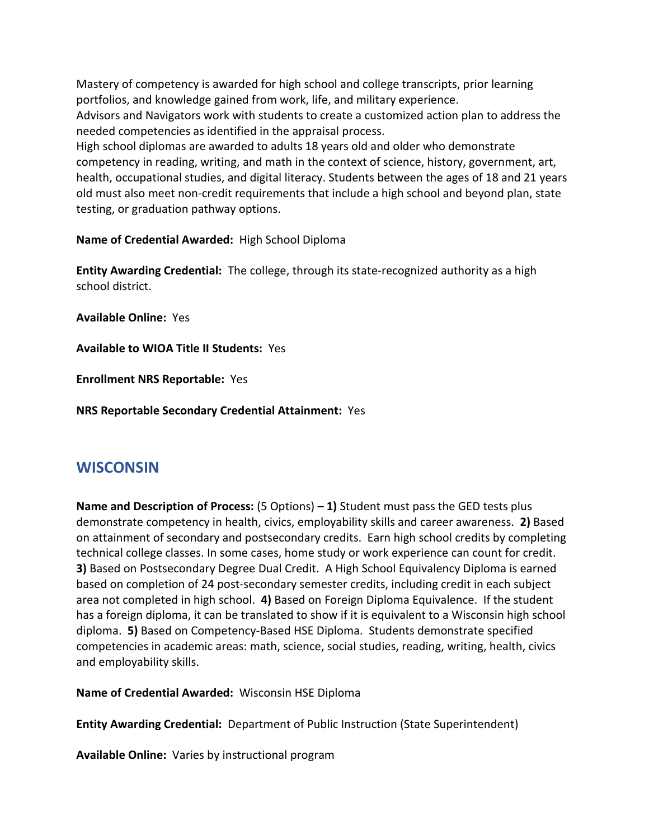Mastery of competency is awarded for high school and college transcripts, prior learning portfolios, and knowledge gained from work, life, and military experience.

Advisors and Navigators work with students to create a customized action plan to address the needed competencies as identified in the appraisal process.

High school diplomas are awarded to adults 18 years old and older who demonstrate competency in reading, writing, and math in the context of science, history, government, art, health, occupational studies, and digital literacy. Students between the ages of 18 and 21 years old must also meet non-credit requirements that include a high school and beyond plan, state testing, or graduation pathway options.

**Name of Credential Awarded:** High School Diploma

**Entity Awarding Credential:** The college, through its state-recognized authority as a high school district.

**Available Online:** Yes

**Available to WIOA Title II Students:** Yes

**Enrollment NRS Reportable:** Yes

**NRS Reportable Secondary Credential Attainment:** Yes

### **WISCONSIN**

**Name and Description of Process:** (5 Options) – **1)** Student must pass the GED tests plus demonstrate competency in health, civics, employability skills and career awareness. **2)** Based on attainment of secondary and postsecondary credits. Earn high school credits by completing technical college classes. In some cases, home study or work experience can count for credit. **3)** Based on Postsecondary Degree Dual Credit. A High School Equivalency Diploma is earned based on completion of 24 post-secondary semester credits, including credit in each subject area not completed in high school. **4)** Based on Foreign Diploma Equivalence. If the student has a foreign diploma, it can be translated to show if it is equivalent to a Wisconsin high school diploma. **5)** Based on Competency-Based HSE Diploma. Students demonstrate specified competencies in academic areas: math, science, social studies, reading, writing, health, civics and employability skills.

**Name of Credential Awarded:** Wisconsin HSE Diploma

**Entity Awarding Credential:** Department of Public Instruction (State Superintendent)

**Available Online:** Varies by instructional program